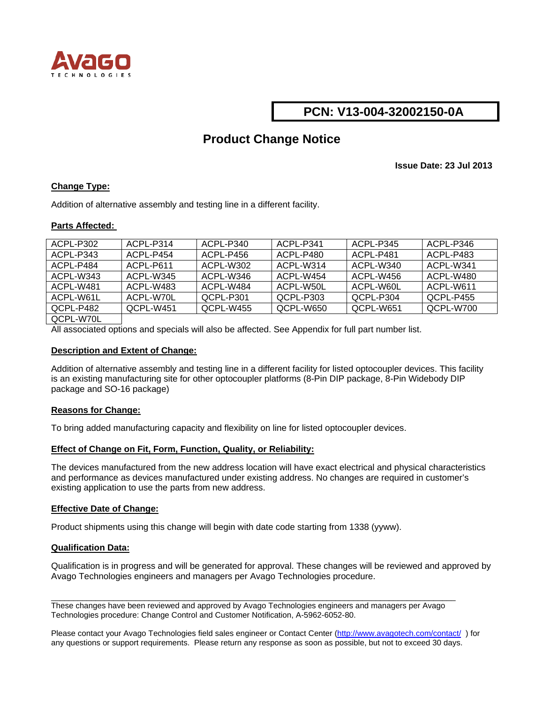

## **PCN: V13-004-32002150-0A**

# **Product Change Notice**

**Issue Date: 23 Jul 2013** 

### **Change Type:**

Addition of alternative assembly and testing line in a different facility.

#### **Parts Affected:**

| ACPL-P302 | ACPI-P314   | ACPL-P340 | ACPI - P341 | ACPI-P345  | ACPL-P346  |
|-----------|-------------|-----------|-------------|------------|------------|
| ACPL-P343 | ACPL-P454   | ACPL-P456 | ACPI -P480  | ACPI -P481 | ACPL-P483  |
| ACPL-P484 | ACPI-P611   | ACPL-W302 | ACPI -W314  | ACPL-W340  | ACPI -W341 |
| ACPL-W343 | ACPI - W345 | ACPL-W346 | ACPI -W454  | ACPL-W456  | ACPL-W480  |
| ACPL-W481 | ACPI -W483  | ACPL-W484 | ACPL-W50L   | ACPL-W60L  | ACPL-W611  |
| ACPL-W61L | ACPL-W70L   | OCPL-P301 | OCPL-P303   | OCPL-P304  | QCPL-P455  |
| OCPL-P482 | OCPL-W451   | OCPL-W455 | OCPL-W650   | QCPL-W651  | OCPL-W700  |
| OMI 11701 |             |           |             |            |            |

QCPL-W70L

All associated options and specials will also be affected. See Appendix for full part number list.

#### **Description and Extent of Change:**

Addition of alternative assembly and testing line in a different facility for listed optocoupler devices. This facility is an existing manufacturing site for other optocoupler platforms (8-Pin DIP package, 8-Pin Widebody DIP package and SO-16 package)

#### **Reasons for Change:**

To bring added manufacturing capacity and flexibility on line for listed optocoupler devices.

#### **Effect of Change on Fit, Form, Function, Quality, or Reliability:**

The devices manufactured from the new address location will have exact electrical and physical characteristics and performance as devices manufactured under existing address. No changes are required in customer's existing application to use the parts from new address.

#### **Effective Date of Change:**

Product shipments using this change will begin with date code starting from 1338 (yyww).

#### **Qualification Data:**

Qualification is in progress and will be generated for approval. These changes will be reviewed and approved by Avago Technologies engineers and managers per Avago Technologies procedure.

These changes have been reviewed and approved by Avago Technologies engineers and managers per Avago Technologies procedure: Change Control and Customer Notification, A-5962-6052-80.

 $\_$  . The contribution of the contribution of the contribution of the contribution of the contribution of  $\mathcal{L}_\text{max}$ 

Please contact your Avago Technologies field sales engineer or Contact Center (<http://www.avagotech.com/contact/>) for any questions or support requirements. Please return any response as soon as possible, but not to exceed 30 days.